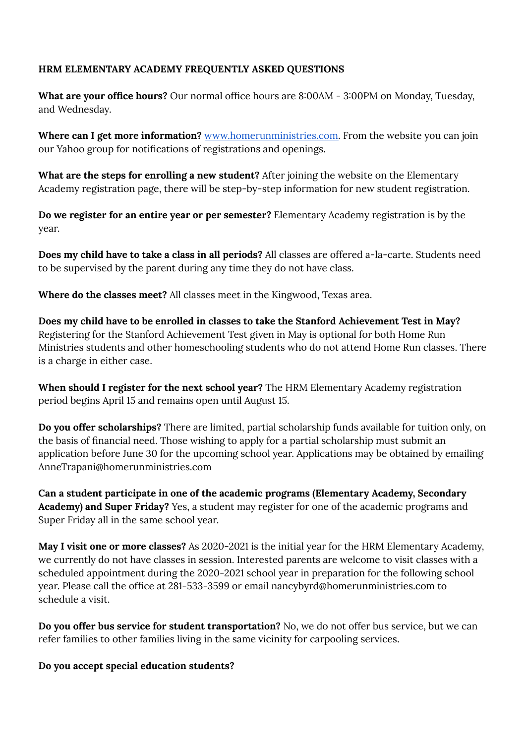## **HRM ELEMENTARY ACADEMY FREQUENTLY ASKED QUESTIONS**

**What are your office hours?** Our normal office hours are 8:00AM - 3:00PM on Monday, Tuesday, and Wednesday.

**Where can I get more information?** [www.homerunministries.com.](http://www.homerunministries.com/) From the website you can join our Yahoo group for notifications of registrations and openings.

**What are the steps for enrolling a new student?** After joining the website on the Elementary Academy registration page, there will be step-by-step information for new student registration.

**Do we register for an entire year or per semester?** Elementary Academy registration is by the year.

**Does my child have to take a class in all periods?** All classes are offered a-la-carte. Students need to be supervised by the parent during any time they do not have class.

**Where do the classes meet?** All classes meet in the Kingwood, Texas area.

**Does my child have to be enrolled in classes to take the Stanford Achievement Test in May?** Registering for the Stanford Achievement Test given in May is optional for both Home Run Ministries students and other homeschooling students who do not attend Home Run classes. There is a charge in either case.

**When should I register for the next school year?** The HRM Elementary Academy registration period begins April 15 and remains open until August 15.

**Do you offer scholarships?** There are limited, partial scholarship funds available for tuition only, on the basis of financial need. Those wishing to apply for a partial scholarship must submit an application before June 30 for the upcoming school year. Applications may be obtained by emailing AnneTrapani@homerunministries.com

**Can a student participate in one of the academic programs (Elementary Academy, Secondary Academy) and Super Friday?** Yes, a student may register for one of the academic programs and Super Friday all in the same school year.

**May I visit one or more classes?** As 2020-2021 is the initial year for the HRM Elementary Academy, we currently do not have classes in session. Interested parents are welcome to visit classes with a scheduled appointment during the 2020-2021 school year in preparation for the following school year. Please call the office at 281-533-3599 or email nancybyrd@homerunministries.com to schedule a visit.

**Do you offer bus service for student transportation?** No, we do not offer bus service, but we can refer families to other families living in the same vicinity for carpooling services.

**Do you accept special education students?**